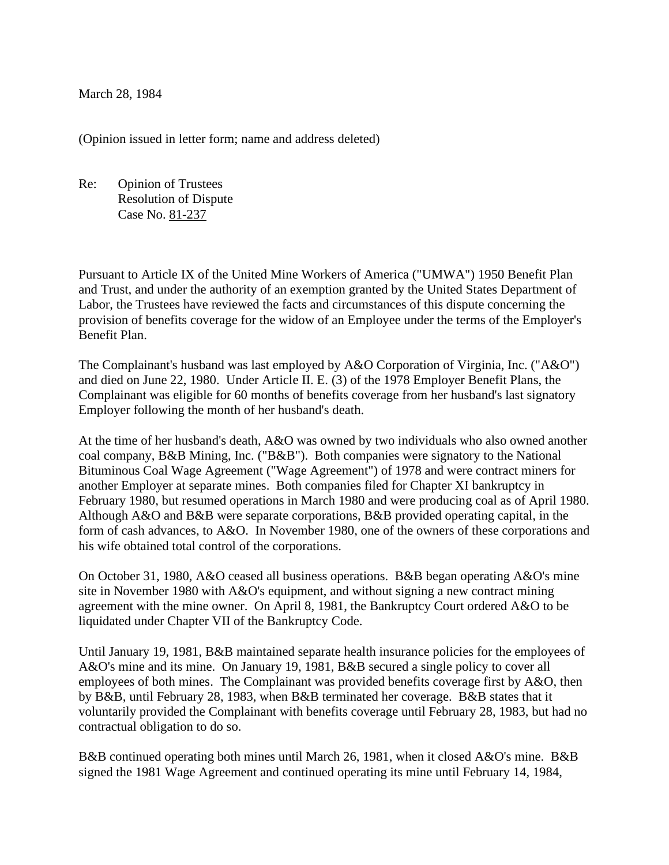March 28, 1984

(Opinion issued in letter form; name and address deleted)

Re: Opinion of Trustees Resolution of Dispute Case No. 81-237

Pursuant to Article IX of the United Mine Workers of America ("UMWA") 1950 Benefit Plan and Trust, and under the authority of an exemption granted by the United States Department of Labor, the Trustees have reviewed the facts and circumstances of this dispute concerning the provision of benefits coverage for the widow of an Employee under the terms of the Employer's Benefit Plan.

The Complainant's husband was last employed by A&O Corporation of Virginia, Inc. ("A&O") and died on June 22, 1980. Under Article II. E. (3) of the 1978 Employer Benefit Plans, the Complainant was eligible for 60 months of benefits coverage from her husband's last signatory Employer following the month of her husband's death.

At the time of her husband's death, A&O was owned by two individuals who also owned another coal company, B&B Mining, Inc. ("B&B"). Both companies were signatory to the National Bituminous Coal Wage Agreement ("Wage Agreement") of 1978 and were contract miners for another Employer at separate mines. Both companies filed for Chapter XI bankruptcy in February 1980, but resumed operations in March 1980 and were producing coal as of April 1980. Although A&O and B&B were separate corporations, B&B provided operating capital, in the form of cash advances, to A&O. In November 1980, one of the owners of these corporations and his wife obtained total control of the corporations.

On October 31, 1980, A&O ceased all business operations. B&B began operating A&O's mine site in November 1980 with A&O's equipment, and without signing a new contract mining agreement with the mine owner. On April 8, 1981, the Bankruptcy Court ordered A&O to be liquidated under Chapter VII of the Bankruptcy Code.

Until January 19, 1981, B&B maintained separate health insurance policies for the employees of A&O's mine and its mine. On January 19, 1981, B&B secured a single policy to cover all employees of both mines. The Complainant was provided benefits coverage first by A&O, then by B&B, until February 28, 1983, when B&B terminated her coverage. B&B states that it voluntarily provided the Complainant with benefits coverage until February 28, 1983, but had no contractual obligation to do so.

B&B continued operating both mines until March 26, 1981, when it closed A&O's mine. B&B signed the 1981 Wage Agreement and continued operating its mine until February 14, 1984,